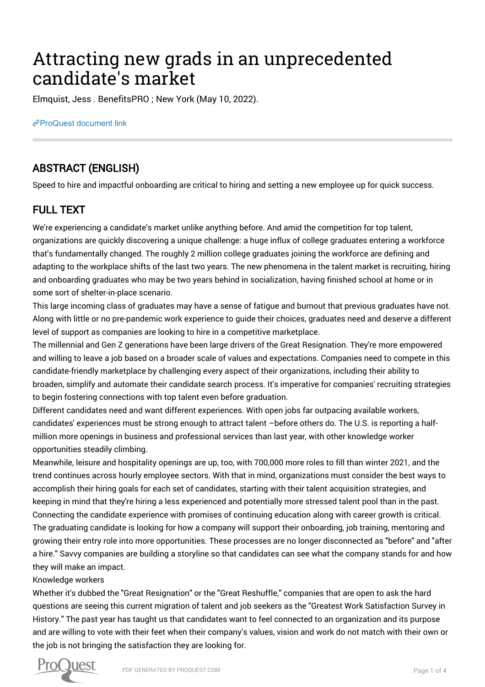# Attracting new grads in an unprecedented candidate's market

Elmquist, Jess . BenefitsPRO ; New York (May 10, 2022).

[ProQuest document link](https://www.proquest.com/trade-journals/attracting-new-grads-unprecedented-candidates/docview/2661678393/se-2?accountid=44910)

## ABSTRACT (ENGLISH)

Speed to hire and impactful onboarding are critical to hiring and setting a new employee up for quick success.

## FULL TEXT

We're experiencing a candidate's market unlike anything before. And amid the competition for top talent, organizations are quickly discovering a unique challenge: a huge influx of college graduates entering a workforce that's fundamentally changed. The roughly 2 million college graduates joining the workforce are defining and adapting to the workplace shifts of the last two years. The new phenomena in the talent market is recruiting, hiring and onboarding graduates who may be two years behind in socialization, having finished school at home or in some sort of shelter-in-place scenario.

This large incoming class of graduates may have a sense of fatigue and burnout that previous graduates have not. Along with little or no pre-pandemic work experience to guide their choices, graduates need and deserve a different level of support as companies are looking to hire in a competitive marketplace.

The millennial and Gen Z generations have been large drivers of the Great Resignation. They're more empowered and willing to leave a job based on a broader scale of values and expectations. Companies need to compete in this candidate-friendly marketplace by challenging every aspect of their organizations, including their ability to broaden, simplify and automate their candidate search process. It's imperative for companies' recruiting strategies to begin fostering connections with top talent even before graduation.

Different candidates need and want different experiences. With open jobs far outpacing available workers, candidates' experiences must be strong enough to attract talent –before others do. The U.S. is reporting a halfmillion more openings in business and professional services than last year, with other knowledge worker opportunities steadily climbing.

Meanwhile, leisure and hospitality openings are up, too, with 700,000 more roles to fill than winter 2021, and the trend continues across hourly employee sectors. With that in mind, organizations must consider the best ways to accomplish their hiring goals for each set of candidates, starting with their talent acquisition strategies, and keeping in mind that they're hiring a less experienced and potentially more stressed talent pool than in the past. Connecting the candidate experience with promises of continuing education along with career growth is critical. The graduating candidate is looking for how a company will support their onboarding, job training, mentoring and growing their entry role into more opportunities. These processes are no longer disconnected as "before" and "after a hire." Savvy companies are building a storyline so that candidates can see what the company stands for and how they will make an impact.

#### Knowledge workers

Whether it's dubbed the "Great Resignation" or the "Great Reshuffle," companies that are open to ask the hard questions are seeing this current migration of talent and job seekers as the "Greatest Work Satisfaction Survey in History." The past year has taught us that candidates want to feel connected to an organization and its purpose and are willing to vote with their feet when their company's values, vision and work do not match with their own or the job is not bringing the satisfaction they are looking for.

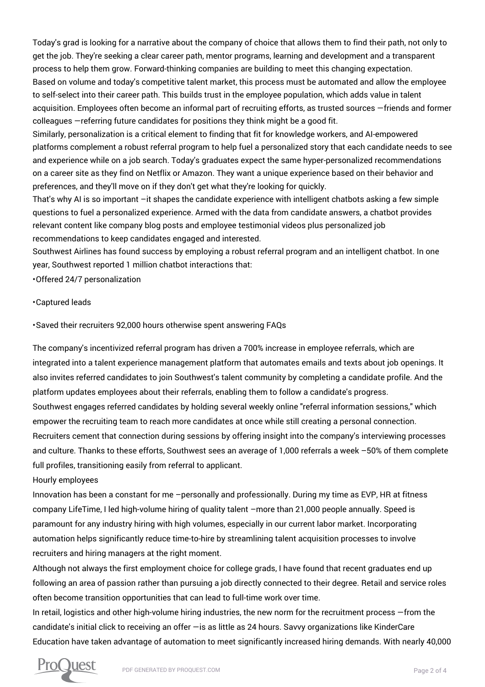Today's grad is looking for a narrative about the company of choice that allows them to find their path, not only to get the job. They're seeking a clear career path, mentor programs, learning and development and a transparent process to help them grow. Forward-thinking companies are building to meet this changing expectation. Based on volume and today's competitive talent market, this process must be automated and allow the employee to self-select into their career path. This builds trust in the employee population, which adds value in talent acquisition. Employees often become an informal part of recruiting efforts, as trusted sources —friends and former colleagues —referring future candidates for positions they think might be a good fit.

Similarly, personalization is a critical element to finding that fit for knowledge workers, and AI-empowered platforms complement a robust referral program to help fuel a personalized story that each candidate needs to see and experience while on a job search. Today's graduates expect the same hyper-personalized recommendations on a career site as they find on Netflix or Amazon. They want a unique experience based on their behavior and preferences, and they'll move on if they don't get what they're looking for quickly.

That's why AI is so important –it shapes the candidate experience with intelligent chatbots asking a few simple questions to fuel a personalized experience. Armed with the data from candidate answers, a chatbot provides relevant content like company blog posts and employee testimonial videos plus personalized job recommendations to keep candidates engaged and interested.

Southwest Airlines has found success by employing a robust referral program and an intelligent chatbot. In one year, Southwest reported 1 million chatbot interactions that:

• Offered 24/7 personalization

#### • Captured leads

• Saved their recruiters 92,000 hours otherwise spent answering FAQs

The company's incentivized referral program has driven a 700% increase in employee referrals, which are integrated into a talent experience management platform that automates emails and texts about job openings. It also invites referred candidates to join Southwest's talent community by completing a candidate profile. And the platform updates employees about their referrals, enabling them to follow a candidate's progress. Southwest engages referred candidates by holding several weekly online "referral information sessions," which empower the recruiting team to reach more candidates at once while still creating a personal connection. Recruiters cement that connection during sessions by offering insight into the company's interviewing processes and culture. Thanks to these efforts, Southwest sees an average of 1,000 referrals a week –50% of them complete full profiles, transitioning easily from referral to applicant.

Hourly employees

Innovation has been a constant for me –personally and professionally. During my time as EVP, HR at fitness company LifeTime, I led high-volume hiring of quality talent –more than 21,000 people annually. Speed is paramount for any industry hiring with high volumes, especially in our current labor market. Incorporating automation helps significantly reduce time-to-hire by streamlining talent acquisition processes to involve recruiters and hiring managers at the right moment.

Although not always the first employment choice for college grads, I have found that recent graduates end up following an area of passion rather than pursuing a job directly connected to their degree. Retail and service roles often become transition opportunities that can lead to full-time work over time.

In retail, logistics and other high-volume hiring industries, the new norm for the recruitment process —from the candidate's initial click to receiving an offer —is as little as 24 hours. Savvy organizations like KinderCare Education have taken advantage of automation to meet significantly increased hiring demands. With nearly 40,000

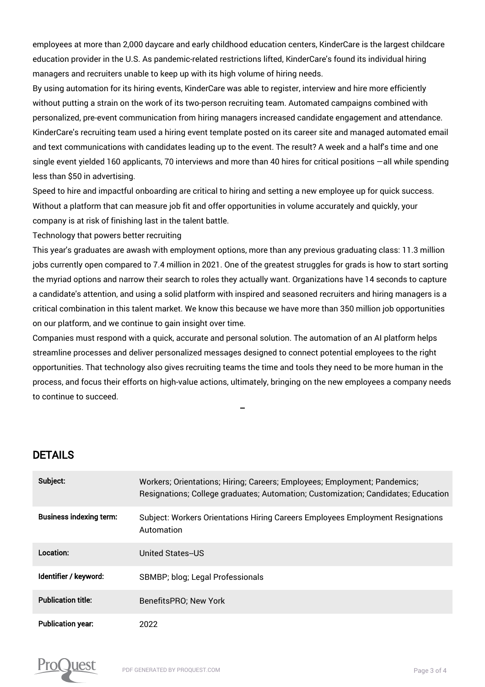employees at more than 2,000 daycare and early childhood education centers, KinderCare is the largest childcare education provider in the U.S. As pandemic-related restrictions lifted, KinderCare's found its individual hiring managers and recruiters unable to keep up with its high volume of hiring needs.

By using automation for its hiring events, KinderCare was able to register, interview and hire more efficiently without putting a strain on the work of its two-person recruiting team. Automated campaigns combined with personalized, pre-event communication from hiring managers increased candidate engagement and attendance. KinderCare's recruiting team used a hiring event template posted on its career site and managed automated email and text communications with candidates leading up to the event. The result? A week and a half's time and one single event yielded 160 applicants, 70 interviews and more than 40 hires for critical positions —all while spending less than \$50 in advertising.

Speed to hire and impactful onboarding are critical to hiring and setting a new employee up for quick success. Without a platform that can measure job fit and offer opportunities in volume accurately and quickly, your company is at risk of finishing last in the talent battle.

Technology that powers better recruiting

This year's graduates are awash with employment options, more than any previous graduating class: 11.3 million jobs currently open compared to 7.4 million in 2021. One of the greatest struggles for grads is how to start sorting the myriad options and narrow their search to roles they actually want. Organizations have 14 seconds to capture a candidate's attention, and using a solid platform with inspired and seasoned recruiters and hiring managers is a critical combination in this talent market. We know this because we have more than 350 million job opportunities on our platform, and we continue to gain insight over time.

Companies must respond with a quick, accurate and personal solution. The automation of an AI platform helps streamline processes and deliver personalized messages designed to connect potential employees to the right opportunities. That technology also gives recruiting teams the time and tools they need to be more human in the process, and focus their efforts on high-value actions, ultimately, bringing on the new employees a company needs to continue to succeed.

### DETAILS

| Subject:                       | Workers; Orientations; Hiring; Careers; Employees; Employment; Pandemics;<br>Resignations; College graduates; Automation; Customization; Candidates; Education |
|--------------------------------|----------------------------------------------------------------------------------------------------------------------------------------------------------------|
| <b>Business indexing term:</b> | Subject: Workers Orientations Hiring Careers Employees Employment Resignations<br>Automation                                                                   |
| Location:                      | United States-US                                                                                                                                               |
| Identifier / keyword:          | SBMBP; blog; Legal Professionals                                                                                                                               |
| <b>Publication title:</b>      | BenefitsPRO: New York                                                                                                                                          |
| <b>Publication year:</b>       | 2022                                                                                                                                                           |